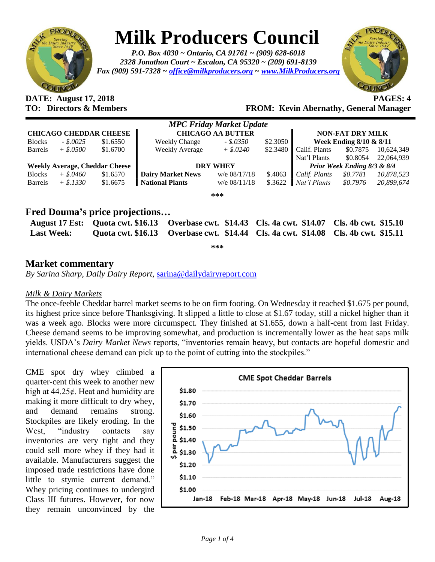

# **Milk Producers Council**

*P.O. Box 4030 ~ Ontario, CA 91761 ~ (909) 628-6018 2328 Jonathon Court ~ Escalon, CA 95320 ~ (209) 691-8139 Fax (909) 591-7328 ~ [office@milkproducers.org](mailto:office@milkproducers.org) ~ [www.MilkProducers.org](http://www.milkproducers.org/)*



# **DATE: August 17, 2018 PAGES: 4**

**TO: Directors & Members FROM: Kevin Abernathy, General Manager**

|                                       |             |          |                          | <b>MPC Friday Market Update</b> |          |                             |          |            |
|---------------------------------------|-------------|----------|--------------------------|---------------------------------|----------|-----------------------------|----------|------------|
| <b>CHICAGO CHEDDAR CHEESE</b>         |             |          | <b>CHICAGO AA BUTTER</b> |                                 |          | <b>NON-FAT DRY MILK</b>     |          |            |
| <b>Blocks</b>                         | $-.8.0025$  | \$1.6550 | <b>Weekly Change</b>     | $-.5.0350$                      | \$2.3050 | Week Ending 8/10 & 8/11     |          |            |
| <b>Barrels</b>                        | $+$ \$.0500 | \$1.6700 | <b>Weekly Average</b>    | $+$ \$.0240                     | \$2.3480 | Calif. Plants               | \$0.7875 | 10,624,349 |
|                                       |             |          |                          |                                 |          | Nat'l Plants                | \$0.8054 | 22,064,939 |
| <b>Weekly Average, Cheddar Cheese</b> |             |          | <b>DRY WHEY</b>          |                                 |          | Prior Week Ending 8/3 & 8/4 |          |            |
| <b>Blocks</b>                         | $+$ \$.0460 | \$1.6570 | <b>Dairy Market News</b> | $w/e$ 08/17/18                  | \$.4063  | Calif. Plants               | \$0.7781 | 10,878,523 |
| <b>Barrels</b>                        | $+$ \$.1330 | \$1.6675 | <b>National Plants</b>   | $w/e$ 08/11/18                  | \$.3622  | Nat'l Plants                | \$0.7976 | 20.899.674 |
|                                       |             |          |                          | ***                             |          |                             |          |            |

### **Fred Douma's price projections…**

|                   | August 17 Est: Quota cwt. \$16.13 Overbase cwt. \$14.43 Cls. 4a cwt. \$14.07 Cls. 4b cwt. \$15.10 |  |
|-------------------|---------------------------------------------------------------------------------------------------|--|
| <b>Last Week:</b> | Quota cwt. \$16.13 Overbase cwt. \$14.44 Cls. 4a cwt. \$14.08 Cls. 4b cwt. \$15.11                |  |

**\*\*\***

#### **Market commentary**

*By Sarina Sharp, Daily Dairy Report,* [sarina@dailydairyreport.com](mailto:sarina@dailydairyreport.com)

#### *Milk & Dairy Markets*

The once-feeble Cheddar barrel market seems to be on firm footing. On Wednesday it reached \$1.675 per pound, its highest price since before Thanksgiving. It slipped a little to close at \$1.67 today, still a nickel higher than it was a week ago. Blocks were more circumspect. They finished at \$1.655, down a half-cent from last Friday. Cheese demand seems to be improving somewhat, and production is incrementally lower as the heat saps milk yields. USDA's *Dairy Market News* reports, "inventories remain heavy, but contacts are hopeful domestic and international cheese demand can pick up to the point of cutting into the stockpiles."

CME spot dry whey climbed a quarter-cent this week to another new high at  $44.25¢$ . Heat and humidity are making it more difficult to dry whey, and demand remains strong. Stockpiles are likely eroding. In the West, "industry contacts say inventories are very tight and they could sell more whey if they had it available. Manufacturers suggest the imposed trade restrictions have done little to stymie current demand." Whey pricing continues to undergird Class III futures. However, for now they remain unconvinced by the

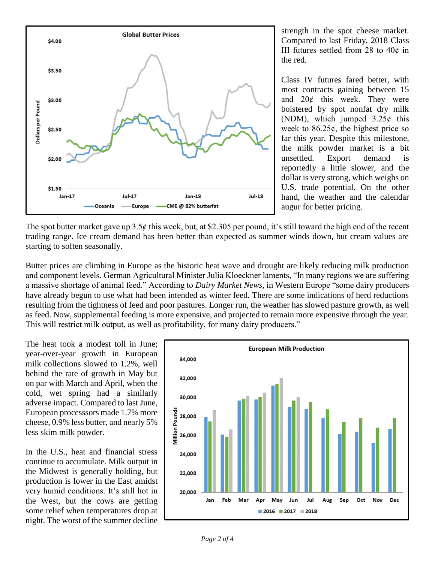

strength in the spot cheese market. Compared to last Friday, 2018 Class III futures settled from 28 to  $40¢$  in the red.

Class IV futures fared better, with most contracts gaining between 15 and  $20¢$  this week. They were bolstered by spot nonfat dry milk (NDM), which jumped  $3.25¢$  this week to  $86.25¢$ , the highest price so far this year. Despite this milestone, the milk powder market is a bit unsettled. Export demand is reportedly a little slower, and the dollar is very strong, which weighs on U.S. trade potential. On the other hand, the weather and the calendar augur for better pricing.

The spot butter market gave up 3.5 $\epsilon$  this week, but, at \$2.305 per pound, it's still toward the high end of the recent trading range. Ice cream demand has been better than expected as summer winds down, but cream values are starting to soften seasonally.

Butter prices are climbing in Europe as the historic heat wave and drought are likely reducing milk production and component levels. German Agricultural Minister Julia Kloeckner laments, "In many regions we are suffering a massive shortage of animal feed." According to *Dairy Market News*, in Western Europe "some dairy producers have already begun to use what had been intended as winter feed. There are some indications of herd reductions resulting from the tightness of feed and poor pastures. Longer run, the weather has slowed pasture growth, as well as feed. Now, supplemental feeding is more expensive, and projected to remain more expensive through the year. This will restrict milk output, as well as profitability, for many dairy producers."

The heat took a modest toll in June; year-over-year growth in European milk collections slowed to 1.2%, well behind the rate of growth in May but on par with March and April, when the cold, wet spring had a similarly adverse impact. Compared to last June, European processsors made 1.7% more cheese, 0.9% less butter, and nearly 5% less skim milk powder.

In the U.S., heat and financial stress continue to accumulate. Milk output in the Midwest is generally holding, but production is lower in the East amidst very humid conditions. It's still hot in the West, but the cows are getting some relief when temperatures drop at night. The worst of the summer decline

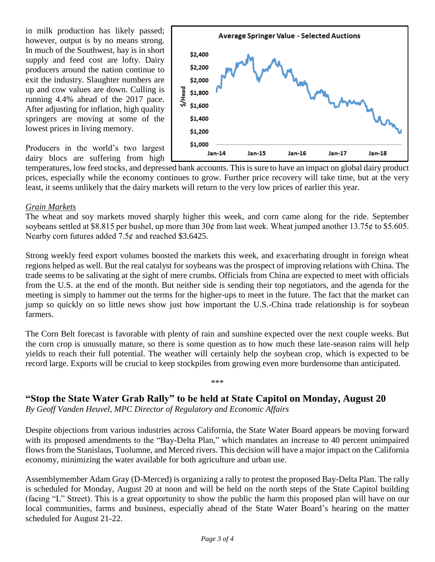in milk production has likely passed; however, output is by no means strong. In much of the Southwest, hay is in short supply and feed cost are lofty. Dairy producers around the nation continue to exit the industry. Slaughter numbers are up and cow values are down. Culling is running 4.4% ahead of the 2017 pace. After adjusting for inflation, high quality springers are moving at some of the lowest prices in living memory.

Producers in the world's two largest dairy blocs are suffering from high



temperatures, low feed stocks, and depressed bank accounts. This is sure to have an impact on global dairy product prices, especially while the economy continues to grow. Further price recovery will take time, but at the very least, it seems unlikely that the dairy markets will return to the very low prices of earlier this year.

#### *Grain Markets*

The wheat and soy markets moved sharply higher this week, and corn came along for the ride. September soybeans settled at \$8.815 per bushel, up more than 30 $\phi$  from last week. Wheat jumped another 13.75 $\phi$  to \$5.605. Nearby corn futures added  $7.5¢$  and reached \$3.6425.

Strong weekly feed export volumes boosted the markets this week, and exacerbating drought in foreign wheat regions helped as well. But the real catalyst for soybeans was the prospect of improving relations with China. The trade seems to be salivating at the sight of mere crumbs. Officials from China are expected to meet with officials from the U.S. at the end of the month. But neither side is sending their top negotiators, and the agenda for the meeting is simply to hammer out the terms for the higher-ups to meet in the future. The fact that the market can jump so quickly on so little news show just how important the U.S.-China trade relationship is for soybean farmers.

The Corn Belt forecast is favorable with plenty of rain and sunshine expected over the next couple weeks. But the corn crop is unusually mature, so there is some question as to how much these late-season rains will help yields to reach their full potential. The weather will certainly help the soybean crop, which is expected to be record large. Exports will be crucial to keep stockpiles from growing even more burdensome than anticipated.

\*\*\*

#### **"Stop the State Water Grab Rally" to be held at State Capitol on Monday, August 20**

*By Geoff Vanden Heuvel, MPC Director of Regulatory and Economic Affairs*

Despite objections from various industries across California, the State Water Board appears be moving forward with its proposed amendments to the "Bay-Delta Plan," which mandates an increase to 40 percent unimpaired flows from the Stanislaus, Tuolumne, and Merced rivers. This decision will have a major impact on the California economy, minimizing the water available for both agriculture and urban use.

Assemblymember Adam Gray (D-Merced) is organizing a rally to protest the proposed Bay-Delta Plan. The rally is scheduled for Monday, August 20 at noon and will be held on the north steps of the State Capitol building (facing "L" Street). This is a great opportunity to show the public the harm this proposed plan will have on our local communities, farms and business, especially ahead of the State Water Board's hearing on the matter scheduled for August 21-22.